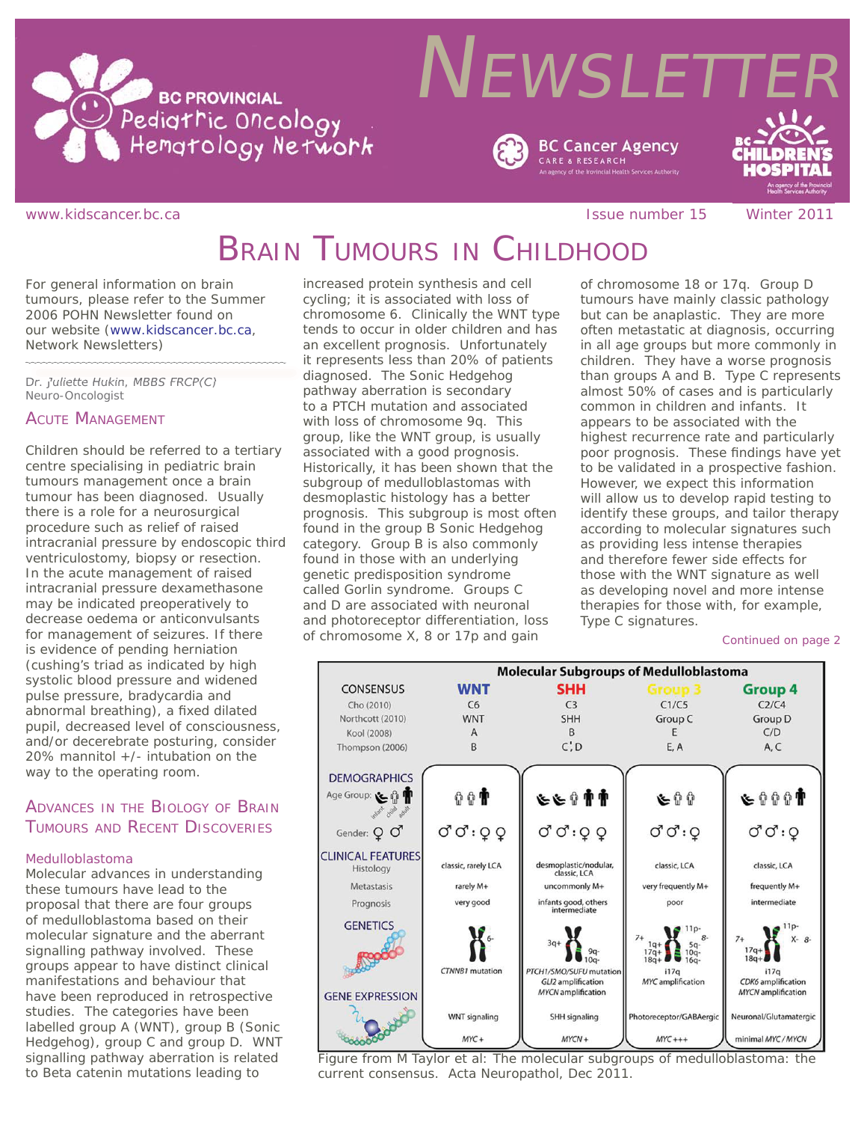

# **NEWSLETTE BC Cancer Agency**

#### www.kidscancer.bc.ca **Issue number 15** Winter 2011

**CARE & RESEARCH** 

# BRAIN TUMOURS IN CHILDHOOD

*For general information on brain tumours, please refer to the Summer 2006 POHN Newsletter found on our website (www.kidscancer.bc.ca, Network Newsletters)*

*Dr. Juliette Hukin, MBBS FRCP(C) Neuro-Oncologist*

### ACUTE MANAGEMENT

Children should be referred to a tertiary centre specialising in pediatric brain tumours management once a brain tumour has been diagnosed. Usually there is a role for a neurosurgical procedure such as relief of raised intracranial pressure by endoscopic third ventriculostomy, biopsy or resection. In the acute management of raised intracranial pressure dexamethasone may be indicated preoperatively to decrease oedema or anticonvulsants for management of seizures. If there is evidence of pending herniation (cushing's triad as indicated by high systolic blood pressure and widened pulse pressure, bradycardia and abnormal breathing), a fixed dilated pupil, decreased level of consciousness, and/or decerebrate posturing, consider 20% mannitol +/- intubation on the way to the operating room.

## ADVANCES IN THE BIOLOGY OF BRAIN TUMOURS AND RECENT DISCOVERIES

#### *Medulloblastoma*

Molecular advances in understanding these tumours have lead to the proposal that there are four groups of medulloblastoma based on their molecular signature and the aberrant signalling pathway involved. These groups appear to have distinct clinical manifestations and behaviour that have been reproduced in retrospective studies. The categories have been labelled group A (WNT), group B (Sonic Hedgehog), group C and group D. WNT signalling pathway aberration is related to Beta catenin mutations leading to

increased protein synthesis and cell cycling; it is associated with loss of chromosome 6. Clinically the WNT type tends to occur in older children and has an excellent prognosis. Unfortunately it represents less than 20% of patients diagnosed. The Sonic Hedgehog pathway aberration is secondary to a PTCH mutation and associated with loss of chromosome 9q. This group, like the WNT group, is usually associated with a good prognosis. Historically, it has been shown that the subgroup of medulloblastomas with desmoplastic histology has a better prognosis. This subgroup is most often found in the group B Sonic Hedgehog category. Group B is also commonly found in those with an underlying genetic predisposition syndrome called Gorlin syndrome. Groups C and D are associated with neuronal and photoreceptor differentiation, loss of chromosome X, 8 or 17p and gain

of chromosome 18 or 17q. Group D tumours have mainly classic pathology but can be anaplastic. They are more often metastatic at diagnosis, occurring in all age groups but more commonly in children. They have a worse prognosis than groups A and B. Type C represents almost 50% of cases and is particularly common in children and infants. It appears to be associated with the highest recurrence rate and particularly poor prognosis. These findings have yet to be validated in a prospective fashion. However, we expect this information will allow us to develop rapid testing to identify these groups, and tailor therapy according to molecular signatures such as providing less intense therapies and therefore fewer side effects for those with the WNT signature as well as developing novel and more intense therapies for those with, for example, Type C signatures.

*Continued on page 2*



Figure from M Taylor et al: The molecular subgroups of medulloblastoma: the current consensus. Acta Neuropathol, Dec 2011.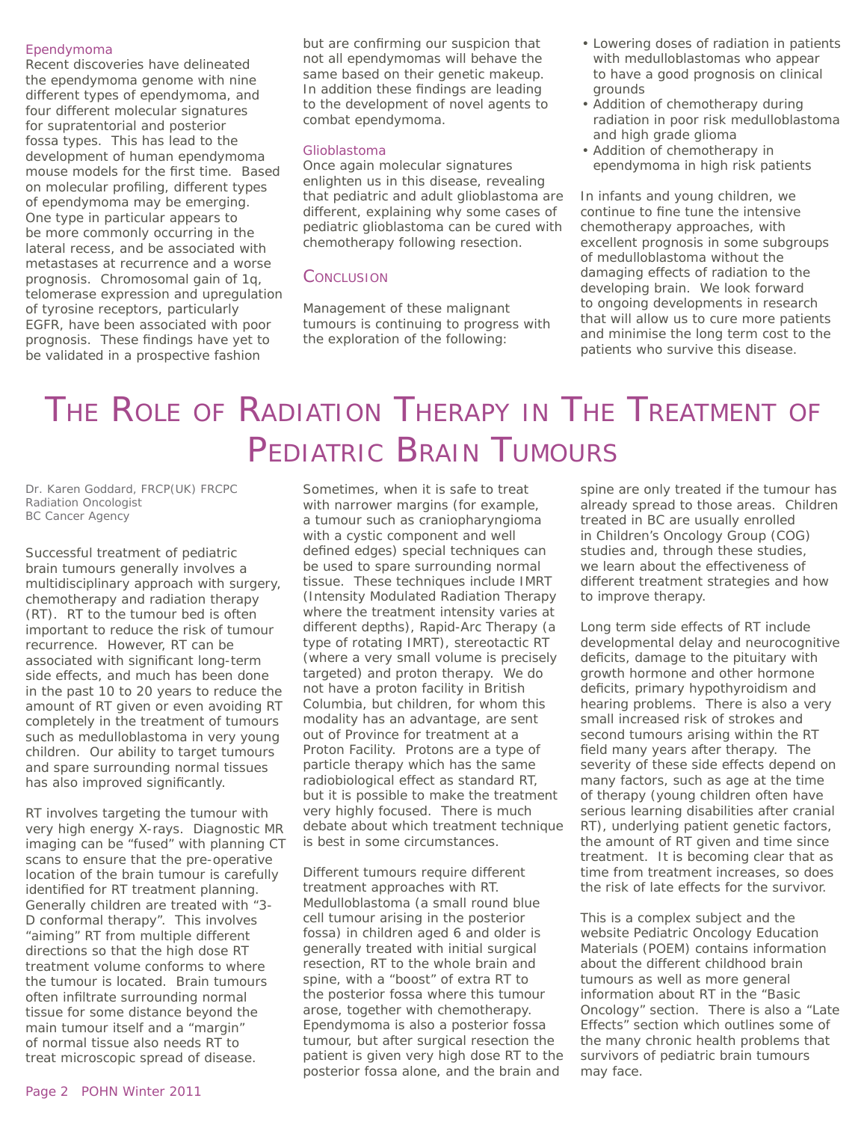#### *Ependymoma*

Recent discoveries have delineated the ependymoma genome with nine different types of ependymoma, and four different molecular signatures for supratentorial and posterior fossa types. This has lead to the development of human ependymoma mouse models for the first time. Based on molecular profiling, different types of ependymoma may be emerging. One type in particular appears to be more commonly occurring in the lateral recess, and be associated with metastases at recurrence and a worse prognosis. Chromosomal gain of 1q, telomerase expression and upregulation of tyrosine receptors, particularly EGFR, have been associated with poor prognosis. These findings have yet to be validated in a prospective fashion

but are confirming our suspicion that not all ependymomas will behave the same based on their genetic makeup. In addition these findings are leading to the development of novel agents to combat ependymoma.

#### *Glioblastoma*

Once again molecular signatures enlighten us in this disease, revealing that pediatric and adult glioblastoma are different, explaining why some cases of pediatric glioblastoma can be cured with chemotherapy following resection.

#### **CONCLUSION**

Management of these malignant tumours is continuing to progress with the exploration of the following:

- Lowering doses of radiation in patients with medulloblastomas who appear to have a good prognosis on clinical grounds
- Addition of chemotherapy during radiation in poor risk medulloblastoma and high grade glioma
- Addition of chemotherapy in ependymoma in high risk patients

In infants and young children, we continue to fine tune the intensive chemotherapy approaches, with excellent prognosis in some subgroups of medulloblastoma without the damaging effects of radiation to the developing brain. We look forward to ongoing developments in research that will allow us to cure more patients and minimise the long term cost to the patients who survive this disease.

# THE ROLE OF RADIATION THERAPY IN THE TREATMENT OF PEDIATRIC BRAIN TUMOURS

*Dr. Karen Goddard, FRCP(UK) FRCPC Radiation Oncologist BC Cancer Agency*

Successful treatment of pediatric brain tumours generally involves a multidisciplinary approach with surgery, chemotherapy and radiation therapy (RT). RT to the tumour bed is often important to reduce the risk of tumour recurrence. However, RT can be associated with significant long-term side effects, and much has been done in the past 10 to 20 years to reduce the amount of RT given or even avoiding RT completely in the treatment of tumours such as medulloblastoma in very young children. Our ability to target tumours and spare surrounding normal tissues has also improved significantly.

RT involves targeting the tumour with very high energy X-rays. Diagnostic MR imaging can be "fused" with planning CT scans to ensure that the pre-operative location of the brain tumour is carefully identified for RT treatment planning. Generally children are treated with "3- D conformal therapy". This involves "aiming" RT from multiple different directions so that the high dose RT treatment volume conforms to where the tumour is located. Brain tumours often infiltrate surrounding normal tissue for some distance beyond the main tumour itself and a "margin" of normal tissue also needs RT to treat microscopic spread of disease.

Sometimes, when it is safe to treat with narrower margins (for example, a tumour such as craniopharyngioma with a cystic component and well defined edges) special techniques can be used to spare surrounding normal tissue. These techniques include IMRT (Intensity Modulated Radiation Therapy where the treatment intensity varies at different depths), Rapid-Arc Therapy (a type of rotating IMRT), stereotactic RT (where a very small volume is precisely targeted) and proton therapy. We do not have a proton facility in British Columbia, but children, for whom this modality has an advantage, are sent out of Province for treatment at a Proton Facility. Protons are a type of particle therapy which has the same radiobiological effect as standard RT, but it is possible to make the treatment very highly focused. There is much debate about which treatment technique is best in some circumstances.

Different tumours require different treatment approaches with RT. Medulloblastoma (a small round blue cell tumour arising in the posterior fossa) in children aged 6 and older is generally treated with initial surgical resection, RT to the whole brain and spine, with a "boost" of extra RT to the posterior fossa where this tumour arose, together with chemotherapy. Ependymoma is also a posterior fossa tumour, but after surgical resection the patient is given very high dose RT to the posterior fossa alone, and the brain and

spine are only treated if the tumour has already spread to those areas. Children treated in BC are usually enrolled in Children's Oncology Group (COG) studies and, through these studies, we learn about the effectiveness of different treatment strategies and how to improve therapy.

Long term side effects of RT include developmental delay and neurocognitive deficits, damage to the pituitary with growth hormone and other hormone deficits, primary hypothyroidism and hearing problems. There is also a very small increased risk of strokes and second tumours arising within the RT field many years after therapy. The severity of these side effects depend on many factors, such as age at the time of therapy (young children often have serious learning disabilities after cranial RT), underlying patient genetic factors, the amount of RT given and time since treatment. It is becoming clear that as time from treatment increases, so does the risk of late effects for the survivor.

This is a complex subject and the website Pediatric Oncology Education Materials (POEM) contains information about the different childhood brain tumours as well as more general information about RT in the "Basic Oncology" section. There is also a "Late Effects" section which outlines some of the many chronic health problems that survivors of pediatric brain tumours may face.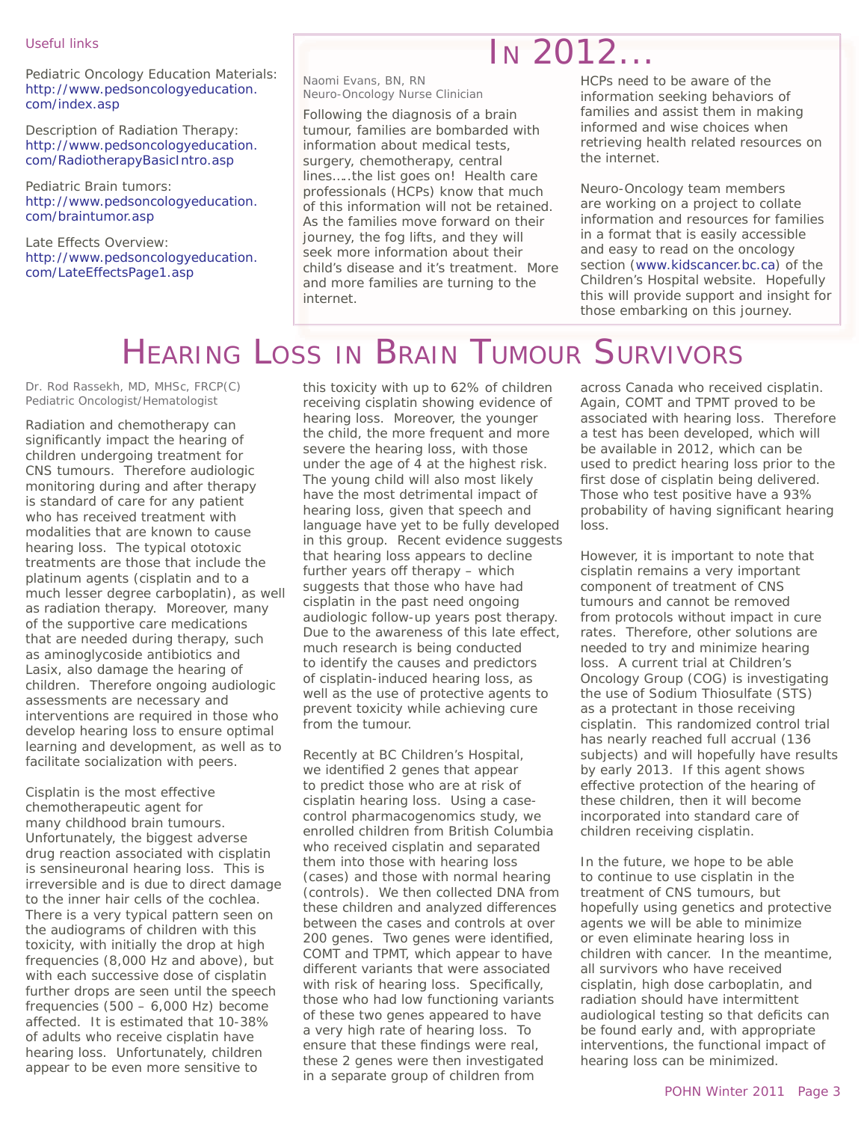#### Useful links

Pediatric Oncology Education Materials: http://www.pedsoncologyeducation. com/index.asp

Description of Radiation Therapy: http://www.pedsoncologyeducation. com/RadiotherapyBasicIntro.asp

Pediatric Brain tumors: http://www.pedsoncologyeducation. com/braintumor.asp

Late Effects Overview: http://www.pedsoncologyeducation. com/LateEffectsPage1.asp

### *Naomi Evans, BN, RN Neuro-Oncology Nurse Clinician*

Following the diagnosis of a brain tumour, families are bombarded with information about medical tests, surgery, chemotherapy, central lines…..the list goes on! Health care professionals (HCPs) know that much of this information will not be retained. As the families move forward on their journey, the fog lifts, and they will seek more information about their child's disease and it's treatment. More and more families are turning to the internet.

HCPs need to be aware of the information seeking behaviors of families and assist them in making informed and wise choices when retrieving health related resources on the internet.

IN 2012...

Neuro-Oncology team members are working on a project to collate information and resources for families in a format that is easily accessible and easy to read on the oncology section (www.kidscancer.bc.ca) of the Children's Hospital website. Hopefully this will provide support and insight for those embarking on this journey.

# HEARING LOSS IN BRAIN TUMOUR SURVIVORS

*Dr. Rod Rassekh, MD, MHSc, FRCP(C) Pediatric Oncologist/Hematologist*

Radiation and chemotherapy can significantly impact the hearing of children undergoing treatment for CNS tumours. Therefore audiologic monitoring during and after therapy is standard of care for any patient who has received treatment with modalities that are known to cause hearing loss. The typical ototoxic treatments are those that include the platinum agents (cisplatin and to a much lesser degree carboplatin), as well as radiation therapy. Moreover, many of the supportive care medications that are needed during therapy, such as aminoglycoside antibiotics and Lasix, also damage the hearing of children. Therefore ongoing audiologic assessments are necessary and interventions are required in those who develop hearing loss to ensure optimal learning and development, as well as to facilitate socialization with peers.

Cisplatin is the most effective chemotherapeutic agent for many childhood brain tumours. Unfortunately, the biggest adverse drug reaction associated with cisplatin is sensineuronal hearing loss. This is irreversible and is due to direct damage to the inner hair cells of the cochlea. There is a very typical pattern seen on the audiograms of children with this toxicity, with initially the drop at high frequencies (8,000 Hz and above), but with each successive dose of cisplatin further drops are seen until the speech frequencies  $(500 - 6,000$  Hz) become affected. It is estimated that 10-38% of adults who receive cisplatin have hearing loss. Unfortunately, children appear to be even more sensitive to

this toxicity with up to 62% of children receiving cisplatin showing evidence of hearing loss. Moreover, the younger the child, the more frequent and more severe the hearing loss, with those under the age of 4 at the highest risk. The young child will also most likely have the most detrimental impact of hearing loss, given that speech and language have yet to be fully developed in this group. Recent evidence suggests that hearing loss appears to decline further years off therapy – which suggests that those who have had cisplatin in the past need ongoing audiologic follow-up years post therapy. Due to the awareness of this late effect, much research is being conducted to identify the causes and predictors of cisplatin-induced hearing loss, as well as the use of protective agents to prevent toxicity while achieving cure from the tumour.

Recently at BC Children's Hospital, we identified 2 genes that appear to predict those who are at risk of cisplatin hearing loss. Using a casecontrol pharmacogenomics study, we enrolled children from British Columbia who received cisplatin and separated them into those with hearing loss (cases) and those with normal hearing (controls). We then collected DNA from these children and analyzed differences between the cases and controls at over 200 genes. Two genes were identified, COMT and TPMT, which appear to have different variants that were associated with risk of hearing loss. Specifically, those who had low functioning variants of these two genes appeared to have a very high rate of hearing loss. To ensure that these findings were real, these 2 genes were then investigated in a separate group of children from

across Canada who received cisplatin. Again, COMT and TPMT proved to be associated with hearing loss. Therefore a test has been developed, which will be available in 2012, which can be used to predict hearing loss prior to the first dose of cisplatin being delivered. Those who test positive have a 93% probability of having significant hearing loss.

However, it is important to note that cisplatin remains a very important component of treatment of CNS tumours and cannot be removed from protocols without impact in cure rates. Therefore, other solutions are needed to try and minimize hearing loss. A current trial at Children's Oncology Group (COG) is investigating the use of Sodium Thiosulfate (STS) as a protectant in those receiving cisplatin. This randomized control trial has nearly reached full accrual (136 subjects) and will hopefully have results by early 2013. If this agent shows effective protection of the hearing of these children, then it will become incorporated into standard care of children receiving cisplatin.

In the future, we hope to be able to continue to use cisplatin in the treatment of CNS tumours, but hopefully using genetics and protective agents we will be able to minimize or even eliminate hearing loss in children with cancer. In the meantime, all survivors who have received cisplatin, high dose carboplatin, and radiation should have intermittent audiological testing so that deficits can be found early and, with appropriate interventions, the functional impact of hearing loss can be minimized.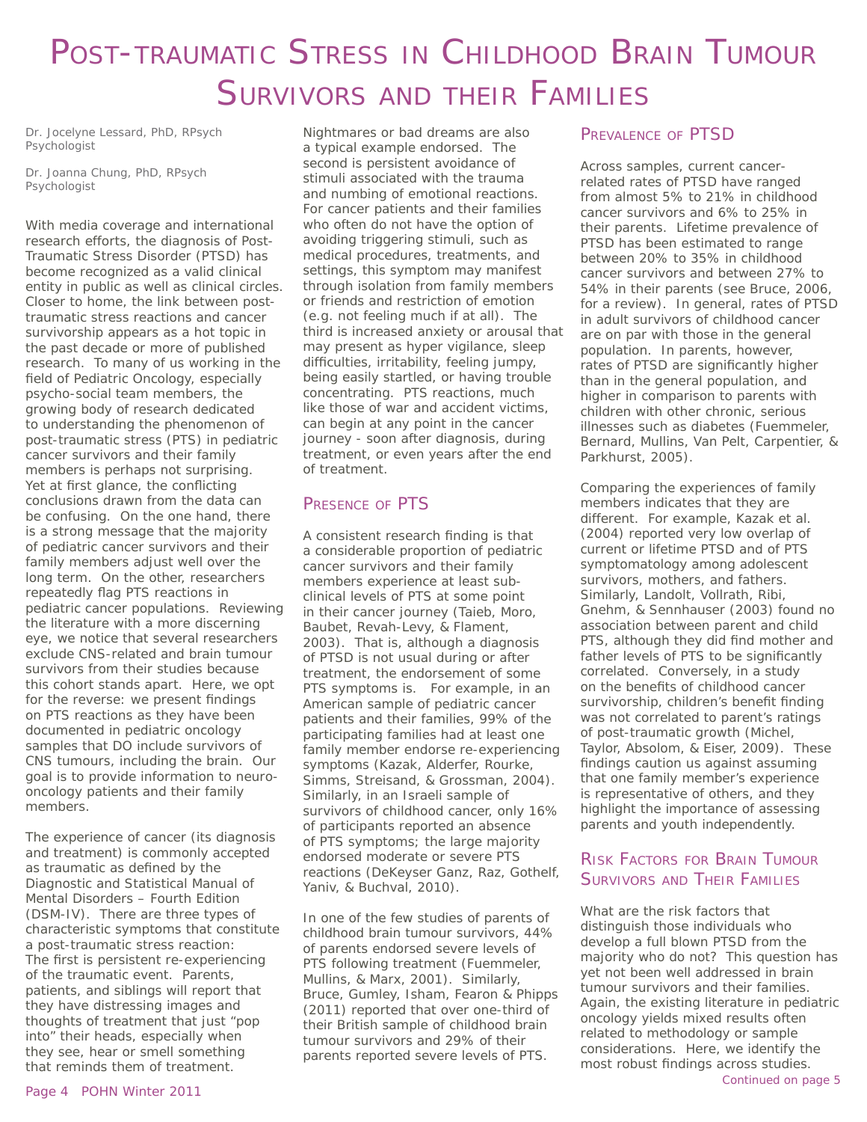# POST-TRAUMATIC STRESS IN CHILDHOOD BRAIN TUMOUR SURVIVORS AND THEIR FAMILIES

*Dr. Jocelyne Lessard, PhD, RPsych Psychologist*

*Dr. Joanna Chung, PhD, RPsych Psychologist*

With media coverage and international research efforts, the diagnosis of Post-Traumatic Stress Disorder (PTSD) has become recognized as a valid clinical entity in public as well as clinical circles. Closer to home, the link between posttraumatic stress reactions and cancer survivorship appears as a hot topic in the past decade or more of published research. To many of us working in the field of Pediatric Oncology, especially psycho-social team members, the growing body of research dedicated to understanding the phenomenon of post-traumatic stress (PTS) in pediatric cancer survivors and their family members is perhaps not surprising. Yet at first glance, the conflicting conclusions drawn from the data can be confusing. On the one hand, there is a strong message that the majority of pediatric cancer survivors and their family members adjust well over the long term. On the other, researchers repeatedly flag PTS reactions in pediatric cancer populations. Reviewing the literature with a more discerning eye, we notice that several researchers exclude CNS-related and brain tumour survivors from their studies because this cohort stands apart. Here, we opt for the reverse: we present findings on PTS reactions as they have been documented in pediatric oncology samples that DO include survivors of CNS tumours, including the brain. Our goal is to provide information to neurooncology patients and their family members.

The experience of cancer (its diagnosis and treatment) is commonly accepted as traumatic as defined by the Diagnostic and Statistical Manual of Mental Disorders – Fourth Edition (DSM-IV). There are three types of characteristic symptoms that constitute a post-traumatic stress reaction: The first is persistent re-experiencing of the traumatic event. Parents, patients, and siblings will report that they have distressing images and thoughts of treatment that just "pop into" their heads, especially when they see, hear or smell something that reminds them of treatment.

Nightmares or bad dreams are also a typical example endorsed. The second is persistent avoidance of stimuli associated with the trauma and numbing of emotional reactions. For cancer patients and their families who often do not have the option of avoiding triggering stimuli, such as medical procedures, treatments, and settings, this symptom may manifest through isolation from family members or friends and restriction of emotion (e.g. not feeling much if at all). The third is increased anxiety or arousal that may present as hyper vigilance, sleep difficulties, irritability, feeling jumpy, being easily startled, or having trouble concentrating. PTS reactions, much like those of war and accident victims, can begin at any point in the cancer journey - soon after diagnosis, during treatment, or even years after the end of treatment.

# PRESENCE OF PTS

A consistent research finding is that a considerable proportion of pediatric cancer survivors and their family members experience at least subclinical levels of PTS at some point in their cancer journey (Taieb, Moro, Baubet, Revah-Levy, & Flament, 2003). That is, although a diagnosis of PTSD is not usual during or after treatment, the endorsement of some PTS symptoms is. For example, in an American sample of pediatric cancer patients and their families, 99% of the participating families had at least one family member endorse re-experiencing symptoms (Kazak, Alderfer, Rourke, Simms, Streisand, & Grossman, 2004). Similarly, in an Israeli sample of survivors of childhood cancer, only 16% of participants reported an absence of PTS symptoms; the large majority endorsed moderate or severe PTS reactions (DeKeyser Ganz, Raz, Gothelf, Yaniv, & Buchval, 2010).

In one of the few studies of parents of childhood brain tumour survivors, 44% of parents endorsed severe levels of PTS following treatment (Fuemmeler, Mullins, & Marx, 2001). Similarly, Bruce, Gumley, Isham, Fearon & Phipps (2011) reported that over one-third of their British sample of childhood brain tumour survivors and 29% of their parents reported severe levels of PTS.

# PREVALENCE OF PTSD

Across samples, current cancerrelated rates of PTSD have ranged from almost 5% to 21% in childhood cancer survivors and 6% to 25% in their parents. Lifetime prevalence of PTSD has been estimated to range between 20% to 35% in childhood cancer survivors and between 27% to 54% in their parents (see Bruce, 2006, for a review). In general, rates of PTSD in adult survivors of childhood cancer are on par with those in the general population. In parents, however, rates of PTSD are significantly higher than in the general population, and higher in comparison to parents with children with other chronic, serious illnesses such as diabetes (Fuemmeler, Bernard, Mullins, Van Pelt, Carpentier, & Parkhurst, 2005).

Comparing the experiences of family members indicates that they are different. For example, Kazak et al. (2004) reported very low overlap of current or lifetime PTSD and of PTS symptomatology among adolescent survivors, mothers, and fathers. Similarly, Landolt, Vollrath, Ribi, Gnehm, & Sennhauser (2003) found no association between parent and child PTS, although they did find mother and father levels of PTS to be significantly correlated. Conversely, in a study on the benefits of childhood cancer survivorship, children's benefit finding was not correlated to parent's ratings of post-traumatic growth (Michel, Taylor, Absolom, & Eiser, 2009). These findings caution us against assuming that one family member's experience is representative of others, and they highlight the importance of assessing parents and youth independently.

# RISK FACTORS FOR BRAIN TUMOUR SURVIVORS AND THEIR FAMILIES

What are the risk factors that distinguish those individuals who develop a full blown PTSD from the majority who do not? This question has yet not been well addressed in brain tumour survivors and their families. Again, the existing literature in pediatric oncology yields mixed results often related to methodology or sample considerations. Here, we identify the most robust findings across studies.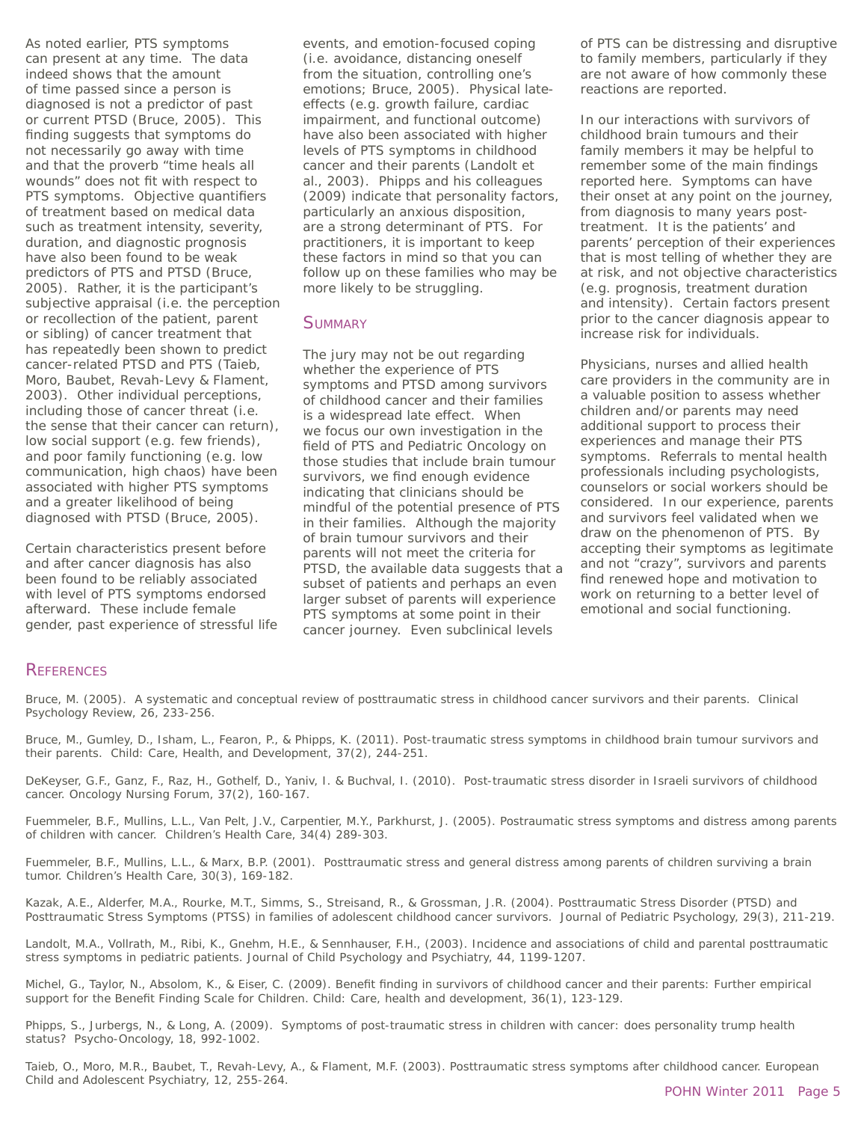As noted earlier, PTS symptoms can present at any time. The data indeed shows that the amount of time passed since a person is diagnosed is not a predictor of past or current PTSD (Bruce, 2005). This finding suggests that symptoms do not necessarily go away with time and that the proverb "time heals all wounds" does not fit with respect to PTS symptoms. Objective quantifiers of treatment based on medical data such as treatment intensity, severity, duration, and diagnostic prognosis have also been found to be weak predictors of PTS and PTSD (Bruce, 2005). Rather, it is the participant's subjective appraisal (i.e. the perception or recollection of the patient, parent or sibling) of cancer treatment that has repeatedly been shown to predict cancer-related PTSD and PTS (Taieb, Moro, Baubet, Revah-Levy & Flament, 2003). Other individual perceptions, including those of cancer threat (i.e. the sense that their cancer can return), low social support (e.g. few friends), and poor family functioning (e.g. low communication, high chaos) have been associated with higher PTS symptoms and a greater likelihood of being diagnosed with PTSD (Bruce, 2005).

Certain characteristics present before and after cancer diagnosis has also been found to be reliably associated with level of PTS symptoms endorsed afterward. These include female gender, past experience of stressful life events, and emotion-focused coping (i.e. avoidance, distancing oneself from the situation, controlling one's emotions; Bruce, 2005). Physical lateeffects (e.g. growth failure, cardiac impairment, and functional outcome) have also been associated with higher levels of PTS symptoms in childhood cancer and their parents (Landolt et al., 2003). Phipps and his colleagues (2009) indicate that personality factors, particularly an anxious disposition, are a strong determinant of PTS. For practitioners, it is important to keep these factors in mind so that you can follow up on these families who may be more likely to be struggling.

### **SUMMARY**

The jury may not be out regarding whether the experience of PTS symptoms and PTSD among survivors of childhood cancer and their families is a widespread late effect. When we focus our own investigation in the field of PTS and Pediatric Oncology on those studies that include brain tumour survivors, we find enough evidence indicating that clinicians should be mindful of the potential presence of PTS in their families. Although the majority of brain tumour survivors and their parents will not meet the criteria for PTSD, the available data suggests that a subset of patients and perhaps an even larger subset of parents will experience PTS symptoms at some point in their cancer journey. Even subclinical levels

of PTS can be distressing and disruptive to family members, particularly if they are not aware of how commonly these reactions are reported.

In our interactions with survivors of childhood brain tumours and their family members it may be helpful to remember some of the main findings reported here. Symptoms can have their onset at any point on the journey, from diagnosis to many years posttreatment. It is the patients' and parents' perception of their experiences that is most telling of whether they are at risk, and not objective characteristics (e.g. prognosis, treatment duration and intensity). Certain factors present prior to the cancer diagnosis appear to increase risk for individuals.

Physicians, nurses and allied health care providers in the community are in a valuable position to assess whether children and/or parents may need additional support to process their experiences and manage their PTS symptoms. Referrals to mental health professionals including psychologists, counselors or social workers should be considered. In our experience, parents and survivors feel validated when we draw on the phenomenon of PTS. By accepting their symptoms as legitimate and not "crazy", survivors and parents find renewed hope and motivation to work on returning to a better level of emotional and social functioning.

# **REFERENCES**

Bruce, M. (2005). A systematic and conceptual review of posttraumatic stress in childhood cancer survivors and their parents. Clinical Psychology Review, 26, 233-256.

Bruce, M., Gumley, D., Isham, L., Fearon, P., & Phipps, K. (2011). Post-traumatic stress symptoms in childhood brain tumour survivors and their parents. Child: Care, Health, and Development, 37(2), 244-251.

DeKeyser, G.F., Ganz, F., Raz, H., Gothelf, D., Yaniv, I. & Buchval, I. (2010). Post-traumatic stress disorder in Israeli survivors of childhood cancer. Oncology Nursing Forum, 37(2), 160-167.

Fuemmeler, B.F., Mullins, L.L., Van Pelt, J.V., Carpentier, M.Y., Parkhurst, J. (2005). Postraumatic stress symptoms and distress among parents of children with cancer. Children's Health Care, 34(4) 289-303.

Fuemmeler, B.F., Mullins, L.L., & Marx, B.P. (2001). Posttraumatic stress and general distress among parents of children surviving a brain tumor. Children's Health Care, 30(3), 169-182.

Kazak, A.E., Alderfer, M.A., Rourke, M.T., Simms, S., Streisand, R., & Grossman, J.R. (2004). Posttraumatic Stress Disorder (PTSD) and Posttraumatic Stress Symptoms (PTSS) in families of adolescent childhood cancer survivors. Journal of Pediatric Psychology, 29(3), 211-219.

Landolt, M.A., Vollrath, M., Ribi, K., Gnehm, H.E., & Sennhauser, F.H., (2003). Incidence and associations of child and parental posttraumatic stress symptoms in pediatric patients. Journal of Child Psychology and Psychiatry, 44, 1199-1207.

Michel, G., Taylor, N., Absolom, K., & Eiser, C. (2009). Benefit finding in survivors of childhood cancer and their parents: Further empirical support for the Benefit Finding Scale for Children. Child: Care, health and development, 36(1), 123-129.

Phipps, S., Jurbergs, N., & Long, A. (2009). Symptoms of post-traumatic stress in children with cancer: does personality trump health status? Psycho-Oncology, 18, 992-1002.

Taieb, O., Moro, M.R., Baubet, T., Revah-Levy, A., & Flament, M.F. (2003). Posttraumatic stress symptoms after childhood cancer. European Child and Adolescent Psychiatry, 12, 255-264.